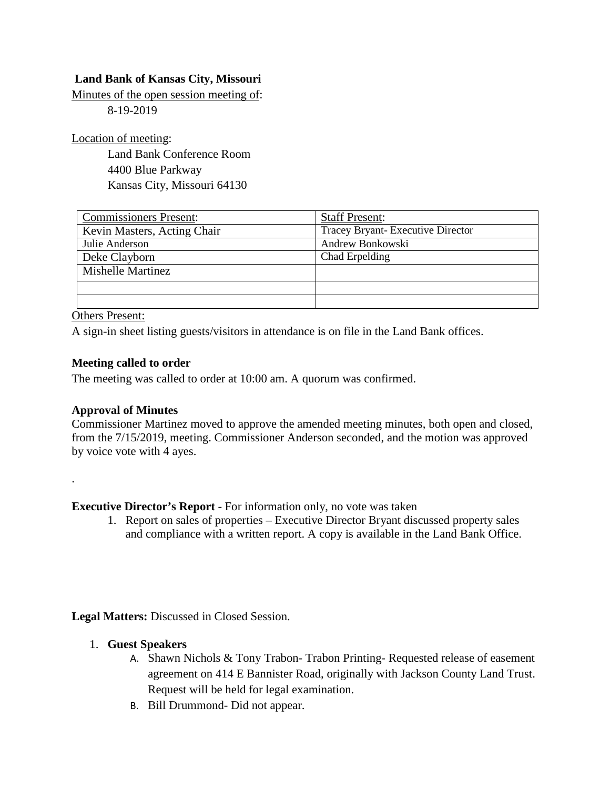## **Land Bank of Kansas City, Missouri**

Minutes of the open session meeting of:

8-19-2019

Location of meeting:

Land Bank Conference Room 4400 Blue Parkway Kansas City, Missouri 64130

| <b>Commissioners Present:</b> | <b>Staff Present:</b>            |
|-------------------------------|----------------------------------|
| Kevin Masters, Acting Chair   | Tracey Bryant-Executive Director |
| Julie Anderson                | Andrew Bonkowski                 |
| Deke Clayborn                 | Chad Erpelding                   |
| <b>Mishelle Martinez</b>      |                                  |
|                               |                                  |
|                               |                                  |

Others Present:

A sign-in sheet listing guests/visitors in attendance is on file in the Land Bank offices.

#### **Meeting called to order**

The meeting was called to order at 10:00 am. A quorum was confirmed.

#### **Approval of Minutes**

.

Commissioner Martinez moved to approve the amended meeting minutes, both open and closed, from the 7/15/2019, meeting. Commissioner Anderson seconded, and the motion was approved by voice vote with 4 ayes.

**Executive Director's Report** - For information only, no vote was taken

1. Report on sales of properties – Executive Director Bryant discussed property sales and compliance with a written report. A copy is available in the Land Bank Office.

**Legal Matters:** Discussed in Closed Session.

- 1. **Guest Speakers**
	- A. Shawn Nichols & Tony Trabon- Trabon Printing- Requested release of easement agreement on 414 E Bannister Road, originally with Jackson County Land Trust. Request will be held for legal examination.
	- B. Bill Drummond- Did not appear.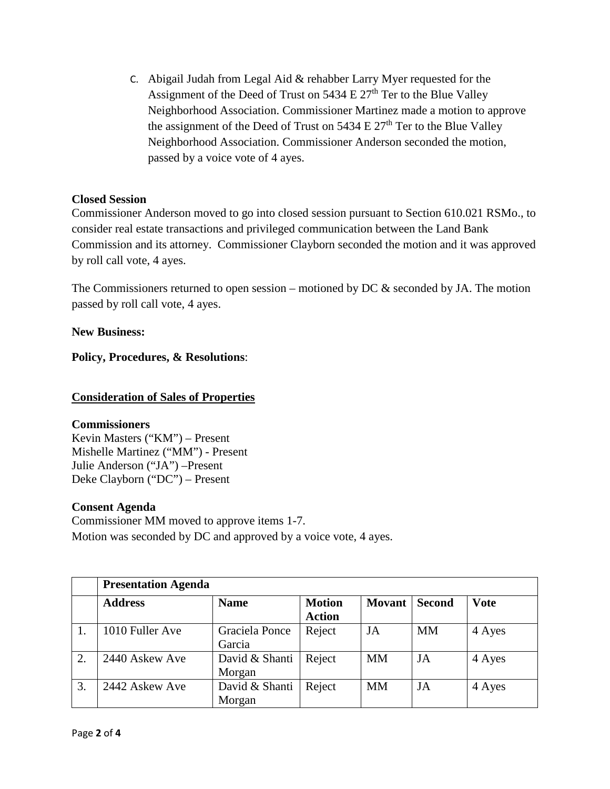C. Abigail Judah from Legal Aid & rehabber Larry Myer requested for the Assignment of the Deed of Trust on  $5434 \to 27<sup>th</sup>$  Ter to the Blue Valley Neighborhood Association. Commissioner Martinez made a motion to approve the assignment of the Deed of Trust on  $5434 \mathrm{E} 27^{\mathrm{th}}$  Ter to the Blue Valley Neighborhood Association. Commissioner Anderson seconded the motion, passed by a voice vote of 4 ayes.

## **Closed Session**

Commissioner Anderson moved to go into closed session pursuant to Section 610.021 RSMo., to consider real estate transactions and privileged communication between the Land Bank Commission and its attorney. Commissioner Clayborn seconded the motion and it was approved by roll call vote, 4 ayes.

The Commissioners returned to open session – motioned by DC  $\&$  seconded by JA. The motion passed by roll call vote, 4 ayes.

#### **New Business:**

**Policy, Procedures, & Resolutions**:

## **Consideration of Sales of Properties**

#### **Commissioners**

Kevin Masters ("KM") – Present Mishelle Martinez ("MM") - Present Julie Anderson ("JA") –Present Deke Clayborn ("DC") – Present

#### **Consent Agenda**

Commissioner MM moved to approve items 1-7. Motion was seconded by DC and approved by a voice vote, 4 ayes.

|    | <b>Presentation Agenda</b> |                          |                                |               |               |             |  |
|----|----------------------------|--------------------------|--------------------------------|---------------|---------------|-------------|--|
|    | <b>Address</b>             | <b>Name</b>              | <b>Motion</b><br><b>Action</b> | <b>Movant</b> | <b>Second</b> | <b>Vote</b> |  |
|    | 1010 Fuller Ave            | Graciela Ponce<br>Garcia | Reject                         | JA            | <b>MM</b>     | 4 Ayes      |  |
| 2. | 2440 Askew Ave             | David & Shanti<br>Morgan | Reject                         | <b>MM</b>     | JA            | 4 Ayes      |  |
| 3. | 2442 Askew Ave             | David & Shanti<br>Morgan | Reject                         | <b>MM</b>     | JA            | 4 Ayes      |  |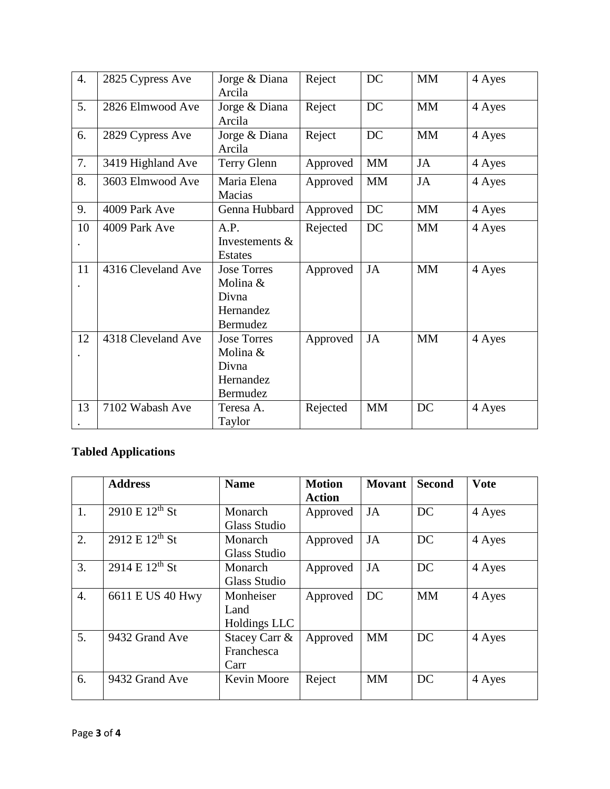| 4. | 2825 Cypress Ave   | Jorge & Diana<br>Arcila                                          | Reject   | DC        | <b>MM</b> | 4 Ayes |
|----|--------------------|------------------------------------------------------------------|----------|-----------|-----------|--------|
| 5. | 2826 Elmwood Ave   | Jorge & Diana<br>Arcila                                          | Reject   | DC        | <b>MM</b> | 4 Ayes |
| 6. | 2829 Cypress Ave   | Jorge & Diana<br>Arcila                                          | Reject   | DC        | <b>MM</b> | 4 Ayes |
| 7. | 3419 Highland Ave  | Terry Glenn                                                      | Approved | <b>MM</b> | JA        | 4 Ayes |
| 8. | 3603 Elmwood Ave   | Maria Elena<br>Macias                                            | Approved | <b>MM</b> | JA        | 4 Ayes |
| 9. | 4009 Park Ave      | Genna Hubbard                                                    | Approved | DC        | <b>MM</b> | 4 Ayes |
| 10 | 4009 Park Ave      | A.P.<br>Investements &<br><b>Estates</b>                         | Rejected | DC        | <b>MM</b> | 4 Ayes |
| 11 | 4316 Cleveland Ave | <b>Jose Torres</b><br>Molina &<br>Divna<br>Hernandez<br>Bermudez | Approved | <b>JA</b> | <b>MM</b> | 4 Ayes |
| 12 | 4318 Cleveland Ave | <b>Jose Torres</b><br>Molina &<br>Divna<br>Hernandez<br>Bermudez | Approved | <b>JA</b> | <b>MM</b> | 4 Ayes |
| 13 | 7102 Wabash Ave    | Teresa A.<br>Taylor                                              | Rejected | <b>MM</b> | DC        | 4 Ayes |

# **Tabled Applications**

|                  | <b>Address</b>                               | <b>Name</b>   | <b>Motion</b><br><b>Action</b> | <b>Movant</b> | <b>Second</b> | <b>V</b> ote |
|------------------|----------------------------------------------|---------------|--------------------------------|---------------|---------------|--------------|
| 1.               | $2910 \text{ E } 12^{\text{th}} \text{ St }$ | Monarch       | Approved                       | JA            | DC            | 4 Ayes       |
|                  |                                              | Glass Studio  |                                |               |               |              |
| 2.               | $2912 E 12^{th} St$                          | Monarch       | Approved                       | JA            | DC            | 4 Ayes       |
|                  |                                              | Glass Studio  |                                |               |               |              |
| 3.               | 2914 E $12^{th}$ St                          | Monarch       | Approved                       | JA            | DC            | 4 Ayes       |
|                  |                                              | Glass Studio  |                                |               |               |              |
| $\overline{4}$ . | 6611 E US 40 Hwy                             | Monheiser     | Approved                       | DC            | <b>MM</b>     | 4 Ayes       |
|                  |                                              | Land          |                                |               |               |              |
|                  |                                              | Holdings LLC  |                                |               |               |              |
| 5.               | 9432 Grand Ave                               | Stacey Carr & | Approved                       | <b>MM</b>     | DC            | 4 Ayes       |
|                  |                                              | Franchesca    |                                |               |               |              |
|                  |                                              | Carr          |                                |               |               |              |
| 6.               | 9432 Grand Ave                               | Kevin Moore   | Reject                         | <b>MM</b>     | DC            | 4 Ayes       |
|                  |                                              |               |                                |               |               |              |